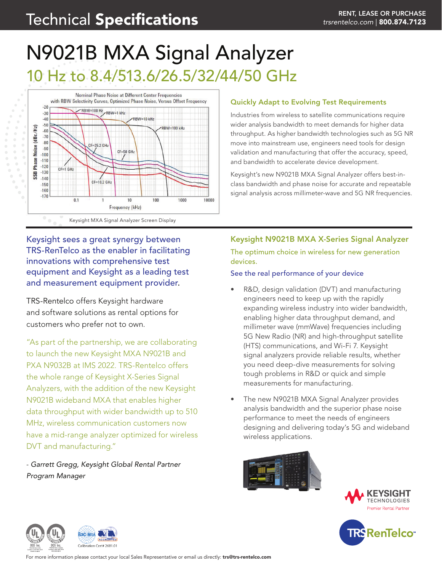# N9021B MXA Signal Analyzer 10 Hz to 8.4/513.6/26.5/32/44/50 GHz



#### Quickly Adapt to Evolving Test Requirements

Industries from wireless to satellite communications require wider analysis bandwidth to meet demands for higher data throughput. As higher bandwidth technologies such as 5G NR move into mainstream use, engineers need tools for design validation and manufacturing that offer the accuracy, speed, and bandwidth to accelerate device development.

Keysight's new N9021B MXA Signal Analyzer offers best-inclass bandwidth and phase noise for accurate and repeatable signal analysis across millimeter-wave and 5G NR frequencies.

# Keysight sees a great synergy between TRS-RenTelco as the enabler in facilitating innovations with comprehensive test equipment and Keysight as a leading test and measurement equipment provider.

TRS-Rentelco offers Keysight hardware and software solutions as rental options for customers who prefer not to own.

"As part of the partnership, we are collaborating to launch the new Keysight MXA N9021B and PXA N9032B at IMS 2022. TRS-Rentelco offers the whole range of Keysight X-Series Signal Analyzers, with the addition of the new Keysight N9021B wideband MXA that enables higher data throughput with wider bandwidth up to 510 MHz, wireless communication customers now have a mid-range analyzer optimized for wireless DVT and manufacturing."

- *Garrett Gregg, Keysight Global Rental Partner Program Manager*

### Keysight N9021B MXA X-Series Signal Analyzer

The optimum choice in wireless for new generation devices.

#### See the real performance of your device

- R&D, design validation (DVT) and manufacturing engineers need to keep up with the rapidly expanding wireless industry into wider bandwidth, enabling higher data throughput demand, and millimeter wave (mmWave) frequencies including 5G New Radio (NR) and high-throughput satellite (HTS) communications, and Wi-Fi 7. Keysight signal analyzers provide reliable results, whether you need deep-dive measurements for solving tough problems in R&D or quick and simple measurements for manufacturing.
- The new N9021B MXA Signal Analyzer provides analysis bandwidth and the superior phase noise performance to meet the needs of engineers designing and delivering today's 5G and wideband wireless applications.